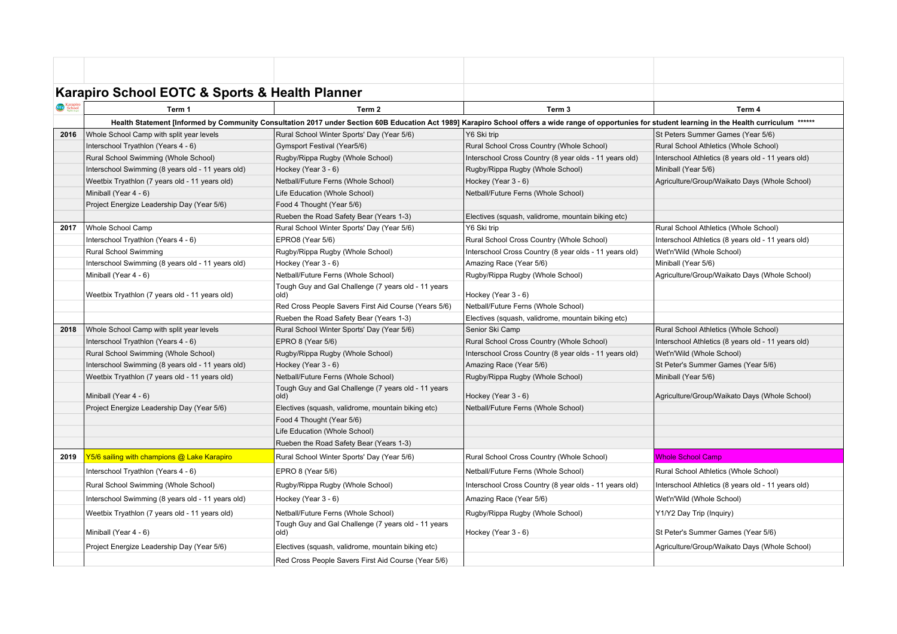|          | Karapiro School EOTC & Sports & Health Planner                                                                                                                                                          |                                                             |                                                        |                                                    |  |  |  |
|----------|---------------------------------------------------------------------------------------------------------------------------------------------------------------------------------------------------------|-------------------------------------------------------------|--------------------------------------------------------|----------------------------------------------------|--|--|--|
| Karapiro | Term 1                                                                                                                                                                                                  | Term <sub>2</sub>                                           | Term <sub>3</sub>                                      | Term 4                                             |  |  |  |
|          | Health Statement [Informed by Community Consultation 2017 under Section 60B Education Act 1989] Karapiro School offers a wide range of opportunies for student learning in the Health curriculum ****** |                                                             |                                                        |                                                    |  |  |  |
| 2016     | Whole School Camp with split year levels                                                                                                                                                                | Rural School Winter Sports' Day (Year 5/6)                  | Y6 Ski trip                                            | St Peters Summer Games (Year 5/6)                  |  |  |  |
|          | Interschool Tryathlon (Years 4 - 6)                                                                                                                                                                     | Gymsport Festival (Year5/6)                                 | Rural School Cross Country (Whole School)              | Rural School Athletics (Whole School)              |  |  |  |
|          | Rural School Swimming (Whole School)                                                                                                                                                                    | Rugby/Rippa Rugby (Whole School)                            | Interschool Cross Country (8 year olds - 11 years old) | Interschool Athletics (8 years old - 11 years old) |  |  |  |
|          | Interschool Swimming (8 years old - 11 years old)                                                                                                                                                       | Hockey (Year 3 - 6)                                         | Rugby/Rippa Rugby (Whole School)                       | Miniball (Year 5/6)                                |  |  |  |
|          | Weetbix Tryathlon (7 years old - 11 years old)                                                                                                                                                          | Netball/Future Ferns (Whole School)                         | Hockey (Year 3 - 6)                                    | Agriculture/Group/Waikato Days (Whole School)      |  |  |  |
|          | Miniball (Year 4 - 6)                                                                                                                                                                                   | Life Education (Whole School)                               | Netball/Future Ferns (Whole School)                    |                                                    |  |  |  |
|          | Project Energize Leadership Day (Year 5/6)                                                                                                                                                              | Food 4 Thought (Year 5/6)                                   |                                                        |                                                    |  |  |  |
|          |                                                                                                                                                                                                         | Rueben the Road Safety Bear (Years 1-3)                     | Electives (squash, validrome, mountain biking etc)     |                                                    |  |  |  |
| 2017     | Whole School Camp                                                                                                                                                                                       | Rural School Winter Sports' Day (Year 5/6)                  | Y6 Ski trip                                            | Rural School Athletics (Whole School)              |  |  |  |
|          | Interschool Tryathlon (Years 4 - 6)                                                                                                                                                                     | EPRO8 (Year 5/6)                                            | Rural School Cross Country (Whole School)              | Interschool Athletics (8 years old - 11 years old) |  |  |  |
|          | Rural School Swimming                                                                                                                                                                                   | Rugby/Rippa Rugby (Whole School)                            | Interschool Cross Country (8 year olds - 11 years old) | Wet'n'Wild (Whole School)                          |  |  |  |
|          | Interschool Swimming (8 years old - 11 years old)                                                                                                                                                       | Hockey (Year 3 - 6)                                         | Amazing Race (Year 5/6)                                | Miniball (Year 5/6)                                |  |  |  |
|          | Miniball (Year 4 - 6)                                                                                                                                                                                   | Netball/Future Ferns (Whole School)                         | Rugby/Rippa Rugby (Whole School)                       | Agriculture/Group/Waikato Days (Whole School)      |  |  |  |
|          | Weetbix Tryathlon (7 years old - 11 years old)                                                                                                                                                          | Tough Guy and Gal Challenge (7 years old - 11 years<br>old) | Hockey (Year 3 - 6)                                    |                                                    |  |  |  |
|          |                                                                                                                                                                                                         | Red Cross People Savers First Aid Course (Years 5/6)        | Netball/Future Ferns (Whole School)                    |                                                    |  |  |  |
|          |                                                                                                                                                                                                         | Rueben the Road Safety Bear (Years 1-3)                     | Electives (squash, validrome, mountain biking etc)     |                                                    |  |  |  |
| 2018     | Whole School Camp with split year levels                                                                                                                                                                | Rural School Winter Sports' Day (Year 5/6)                  | Senior Ski Camp                                        | Rural School Athletics (Whole School)              |  |  |  |
|          | Interschool Tryathlon (Years 4 - 6)                                                                                                                                                                     | EPRO 8 (Year 5/6)                                           | Rural School Cross Country (Whole School)              | Interschool Athletics (8 years old - 11 years old) |  |  |  |
|          | Rural School Swimming (Whole School)                                                                                                                                                                    | Rugby/Rippa Rugby (Whole School)                            | Interschool Cross Country (8 year olds - 11 years old) | Wet'n'Wild (Whole School)                          |  |  |  |
|          | Interschool Swimming (8 years old - 11 years old)                                                                                                                                                       | Hockey (Year 3 - 6)                                         | Amazing Race (Year 5/6)                                | St Peter's Summer Games (Year 5/6)                 |  |  |  |
|          | Weetbix Tryathlon (7 years old - 11 years old)                                                                                                                                                          | Netball/Future Ferns (Whole School)                         | Rugby/Rippa Rugby (Whole School)                       | Miniball (Year 5/6)                                |  |  |  |
|          | Miniball (Year 4 - 6)                                                                                                                                                                                   | Tough Guy and Gal Challenge (7 years old - 11 years<br>old) | Hockey (Year 3 - 6)                                    | Agriculture/Group/Waikato Days (Whole School)      |  |  |  |
|          | Project Energize Leadership Day (Year 5/6)                                                                                                                                                              | Electives (squash, validrome, mountain biking etc)          | Netball/Future Ferns (Whole School)                    |                                                    |  |  |  |
|          |                                                                                                                                                                                                         | Food 4 Thought (Year 5/6)                                   |                                                        |                                                    |  |  |  |
|          |                                                                                                                                                                                                         | Life Education (Whole School)                               |                                                        |                                                    |  |  |  |
|          |                                                                                                                                                                                                         | Rueben the Road Safety Bear (Years 1-3)                     |                                                        |                                                    |  |  |  |
| 2019     | Y5/6 sailing with champions @ Lake Karapiro                                                                                                                                                             | Rural School Winter Sports' Day (Year 5/6)                  | Rural School Cross Country (Whole School)              | Whole School Camp                                  |  |  |  |
|          | Interschool Tryathlon (Years 4 - 6)                                                                                                                                                                     | EPRO 8 (Year 5/6)                                           | Netball/Future Ferns (Whole School)                    | Rural School Athletics (Whole School)              |  |  |  |
|          | Rural School Swimming (Whole School)                                                                                                                                                                    | Rugby/Rippa Rugby (Whole School)                            | Interschool Cross Country (8 year olds - 11 years old) | Interschool Athletics (8 years old - 11 years old) |  |  |  |
|          | Interschool Swimming (8 years old - 11 years old)                                                                                                                                                       | Hockey (Year 3 - 6)                                         | Amazing Race (Year 5/6)                                | Wet'n'Wild (Whole School)                          |  |  |  |
|          | Weetbix Tryathlon (7 years old - 11 years old)                                                                                                                                                          | Netball/Future Ferns (Whole School)                         | Rugby/Rippa Rugby (Whole School)                       | Y1/Y2 Day Trip (Inquiry)                           |  |  |  |
|          | Miniball (Year 4 - 6)                                                                                                                                                                                   | Tough Guy and Gal Challenge (7 years old - 11 years<br>old) | Hockey (Year 3 - 6)                                    | St Peter's Summer Games (Year 5/6)                 |  |  |  |
|          | Project Energize Leadership Day (Year 5/6)                                                                                                                                                              | Electives (squash, validrome, mountain biking etc)          |                                                        | Agriculture/Group/Waikato Days (Whole School)      |  |  |  |
|          |                                                                                                                                                                                                         | Red Cross People Savers First Aid Course (Year 5/6)         |                                                        |                                                    |  |  |  |